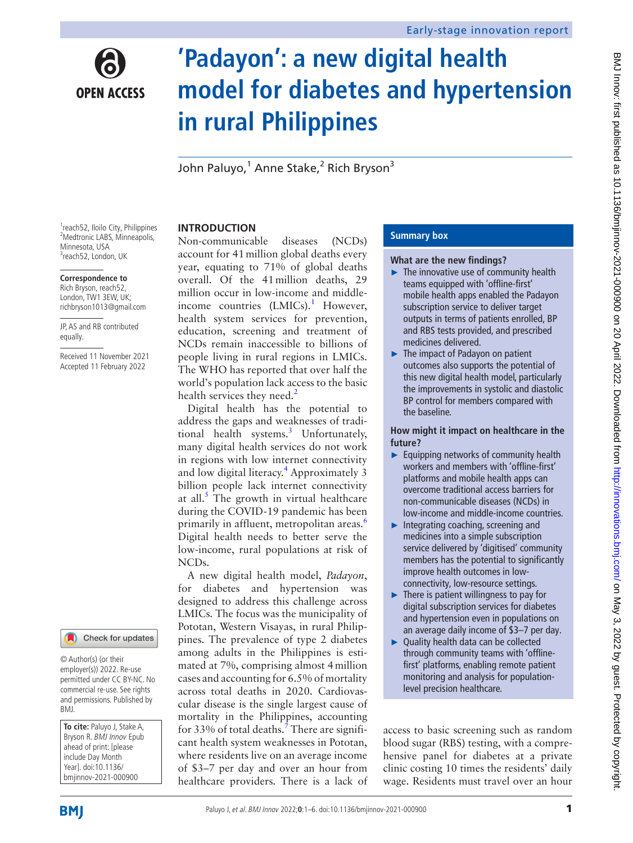

# **'Padayon': a new digital health model for diabetes and hypertension in rural Philippines**

John Paluyo,<sup>1</sup> Anne Stake,<sup>2</sup> Rich Bryson<sup>3</sup>

<sup>1</sup>reach52, Iloilo City, Philippines 2 Medtronic LABS, Minneapolis, Minnesota, USA <sup>3</sup>reach52, London, UK

#### **Correspondence to**

Rich Bryson, reach52, London, TW1 3EW, UK; richbryson1013@gmail.com

JP, AS and RB contributed equally.

Received 11 November 2021 Accepted 11 February 2022



© Author(s) (or their employer(s)) 2022. Re-use permitted under CC BY-NC. No commercial re-use. See rights and permissions. Published by BMJ.

**To cite:** Paluyo J, Stake A, Bryson R. BMJ Innov Epub ahead of print: [please include Day Month Year]. doi:10.1136/ bmjinnov-2021-000900

# **INTRODUCTION**

Non-communicable diseases (NCDs) account for 41million global deaths every year, equating to 71% of global deaths overall. Of the 41million deaths, 29 million occur in low-income and middle-income countries (LMICs).<sup>[1](#page-5-0)</sup> However, health system services for prevention, education, screening and treatment of NCDs remain inaccessible to billions of people living in rural regions in LMICs. The WHO has reported that over half the world's population lack access to the basic health services they need. $<sup>2</sup>$  $<sup>2</sup>$  $<sup>2</sup>$ </sup>

Digital health has the potential to address the gaps and weaknesses of tradi-tional health systems.<sup>[3](#page-5-2)</sup> Unfortunately, many digital health services do not work in regions with low internet connectivity and low digital literacy.<sup>4</sup> Approximately 3 billion people lack internet connectivity at all. $<sup>5</sup>$  $<sup>5</sup>$  $<sup>5</sup>$  The growth in virtual healthcare</sup> during the COVID-19 pandemic has been primarily in affluent, metropolitan areas.<sup>6</sup> Digital health needs to better serve the low-income, rural populations at risk of NCDs.

A new digital health model, *Padayon*, for diabetes and hypertension was designed to address this challenge across LMICs. The focus was the municipality of Pototan, Western Visayas, in rural Philippines. The prevalence of type 2 diabetes among adults in the Philippines is estimated at 7%, comprising almost 4million cases and accounting for 6.5% of mortality across total deaths in 2020. Cardiovascular disease is the single largest cause of mortality in the Philippines, accounting for 33% of total deaths.<sup>[7](#page-5-6)</sup> There are significant health system weaknesses in Pototan, where residents live on an average income of \$3–7 per day and over an hour from healthcare providers. There is a lack of

## **Summary box**

#### **What are the new findings?**

- ► The innovative use of community health teams equipped with 'offline-first' mobile health apps enabled the Padayon subscription service to deliver target outputs in terms of patients enrolled, BP and RBS tests provided, and prescribed medicines delivered.
- ► The impact of Padayon on patient outcomes also supports the potential of this new digital health model, particularly the improvements in systolic and diastolic BP control for members compared with the baseline.

**How might it impact on healthcare in the future?**

- ► Equipping networks of community health workers and members with 'offline-first' platforms and mobile health apps can overcome traditional access barriers for non-communicable diseases (NCDs) in low-income and middle-income countries.
- ► Integrating coaching, screening and medicines into a simple subscription service delivered by 'digitised' community members has the potential to significantly improve health outcomes in lowconnectivity, low-resource settings.
- $\blacktriangleright$  There is patient willingness to pay for digital subscription services for diabetes and hypertension even in populations on an average daily income of \$3–7 per day.
- ► Quality health data can be collected through community teams with 'offlinefirst' platforms, enabling remote patient monitoring and analysis for populationlevel precision healthcare.

access to basic screening such as random blood sugar (RBS) testing, with a comprehensive panel for diabetes at a private clinic costing 10 times the residents' daily wage. Residents must travel over an hour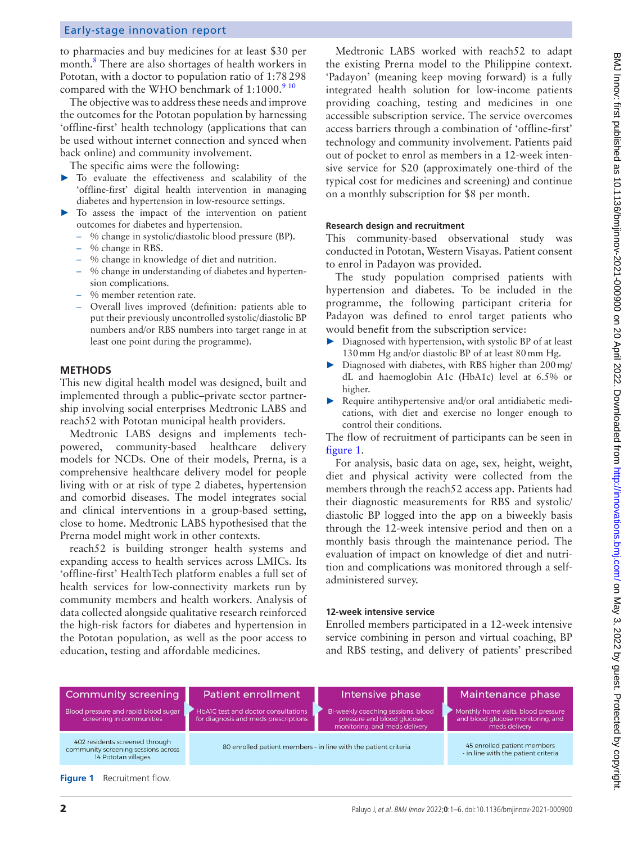## Early-stage innovation report

to pharmacies and buy medicines for at least \$30 per month.<sup>[8](#page-5-7)</sup> There are also shortages of health workers in Pototan, with a doctor to population ratio of 1:78298 compared with the WHO benchmark of  $1:1000$ .<sup>9</sup> <sup>10</sup>

The objective was to address these needs and improve the outcomes for the Pototan population by harnessing 'offline-first' health technology (applications that can be used without internet connection and synced when back online) and community involvement.

The specific aims were the following:

- ► To evaluate the effectiveness and scalability of the 'offline-first' digital health intervention in managing diabetes and hypertension in low-resource settings.
- ► To assess the impact of the intervention on patient outcomes for diabetes and hypertension.
	- % change in systolic/diastolic blood pressure (BP).
	- % change in RBS.
	- % change in knowledge of diet and nutrition.
	- % change in understanding of diabetes and hypertension complications.
	- % member retention rate.
	- Overall lives improved (definition: patients able to put their previously uncontrolled systolic/diastolic BP numbers and/or RBS numbers into target range in at least one point during the programme).

## **METHODS**

This new digital health model was designed, built and implemented through a public–private sector partnership involving social enterprises Medtronic LABS and reach52 with Pototan municipal health providers.

Medtronic LABS designs and implements techpowered, community-based healthcare delivery models for NCDs. One of their models, Prerna, is a comprehensive healthcare delivery model for people living with or at risk of type 2 diabetes, hypertension and comorbid diseases. The model integrates social and clinical interventions in a group-based setting, close to home. Medtronic LABS hypothesised that the Prerna model might work in other contexts.

reach52 is building stronger health systems and expanding access to health services across LMICs. Its 'offline-first' HealthTech platform enables a full set of health services for low-connectivity markets run by community members and health workers. Analysis of data collected alongside qualitative research reinforced the high-risk factors for diabetes and hypertension in the Pototan population, as well as the poor access to education, testing and affordable medicines.

Medtronic LABS worked with reach52 to adapt the existing Prerna model to the Philippine context. 'Padayon' (meaning keep moving forward) is a fully integrated health solution for low-income patients providing coaching, testing and medicines in one accessible subscription service. The service overcomes access barriers through a combination of 'offline-first' technology and community involvement. Patients paid out of pocket to enrol as members in a 12-week intensive service for \$20 (approximately one-third of the typical cost for medicines and screening) and continue on a monthly subscription for \$8 per month.

#### **Research design and recruitment**

This community-based observational study was conducted in Pototan, Western Visayas. Patient consent to enrol in Padayon was provided.

The study population comprised patients with hypertension and diabetes. To be included in the programme, the following participant criteria for Padayon was defined to enrol target patients who would benefit from the subscription service:

- Diagnosed with hypertension, with systolic BP of at least 130mm Hg and/or diastolic BP of at least 80mm Hg.
- Diagnosed with diabetes, with RBS higher than 200 mg/ dL and haemoglobin A1c (HbA1c) level at 6.5% or higher.
- Require antihypertensive and/or oral antidiabetic medications, with diet and exercise no longer enough to control their conditions.

The flow of recruitment of participants can be seen in [figure](#page-1-0) 1.

For analysis, basic data on age, sex, height, weight, diet and physical activity were collected from the members through the reach52 access app. Patients had their diagnostic measurements for RBS and systolic/ diastolic BP logged into the app on a biweekly basis through the 12-week intensive period and then on a monthly basis through the maintenance period. The evaluation of impact on knowledge of diet and nutrition and complications was monitored through a selfadministered survey.

#### **12-week intensive service**

Enrolled members participated in a 12-week intensive service combining in person and virtual coaching, BP and RBS testing, and delivery of patients' prescribed

<span id="page-1-0"></span>

| <b>Community screening</b>                                                                   | Patient enrollment                                                          | Intensive phase                                                                                   | Maintenance phase                                                                         |
|----------------------------------------------------------------------------------------------|-----------------------------------------------------------------------------|---------------------------------------------------------------------------------------------------|-------------------------------------------------------------------------------------------|
| Blood pressure and rapid blood sugar<br>screening in communities                             | HbAIC test and doctor consultations<br>for diagnosis and meds prescriptions | Bi-weekly coaching sessions, blood<br>pressure and blood glucose<br>monitoring, and meds delivery | Monthly home visits, blood pressure<br>and blood glucose monitoring, and<br>meds delivery |
| 402 residents screened through<br>community screening sessions across<br>14 Pototan villages | 80 enrolled patient members - in line with the patient criteria             |                                                                                                   | 45 enrolled patient members<br>- in line with the patient criteria                        |
| <b>Figure 1</b> Recruitment flow.                                                            |                                                                             |                                                                                                   |                                                                                           |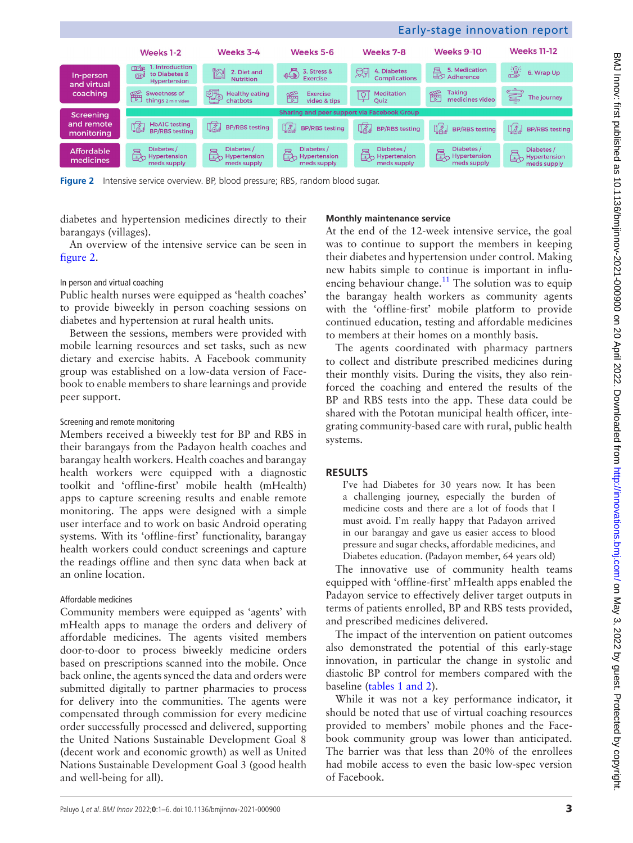<span id="page-2-0"></span>**Figure 2** Intensive service overview. BP, blood pressure: RBS, random blood sugar.

diabetes and hypertension medicines directly to their barangays (villages).

An overview of the intensive service can be seen in [figure](#page-2-0) 2.

### In person and virtual coaching

Public health nurses were equipped as 'health coaches' to provide biweekly in person coaching sessions on diabetes and hypertension at rural health units.

Between the sessions, members were provided with mobile learning resources and set tasks, such as new dietary and exercise habits. A Facebook community group was established on a low-data version of Facebook to enable members to share learnings and provide peer support.

## Screening and remote monitoring

Members received a biweekly test for BP and RBS in their barangays from the Padayon health coaches and barangay health workers. Health coaches and barangay health workers were equipped with a diagnostic toolkit and 'offline-first' mobile health (mHealth) apps to capture screening results and enable remote monitoring. The apps were designed with a simple user interface and to work on basic Android operating systems. With its 'offline-first' functionality, barangay health workers could conduct screenings and capture the readings offline and then sync data when back at an online location.

# Affordable medicines

Community members were equipped as 'agents' with mHealth apps to manage the orders and delivery of affordable medicines. The agents visited members door-to-door to process biweekly medicine orders based on prescriptions scanned into the mobile. Once back online, the agents synced the data and orders were submitted digitally to partner pharmacies to process for delivery into the communities. The agents were compensated through commission for every medicine order successfully processed and delivered, supporting the United Nations Sustainable Development Goal 8 (decent work and economic growth) as well as United Nations Sustainable Development Goal 3 (good health and well-being for all).

# **Monthly maintenance service**

At the end of the 12-week intensive service, the goal was to continue to support the members in keeping their diabetes and hypertension under control. Making new habits simple to continue is important in influencing behaviour change.<sup>11</sup> The solution was to equip the barangay health workers as community agents with the 'offline-first' mobile platform to provide continued education, testing and affordable medicines to members at their homes on a monthly basis.

The agents coordinated with pharmacy partners to collect and distribute prescribed medicines during their monthly visits. During the visits, they also reinforced the coaching and entered the results of the BP and RBS tests into the app. These data could be shared with the Pototan municipal health officer, integrating community-based care with rural, public health systems.

# **RESULTS**

I've had Diabetes for 30 years now. It has been a challenging journey, especially the burden of medicine costs and there are a lot of foods that I must avoid. I'm really happy that Padayon arrived in our barangay and gave us easier access to blood pressure and sugar checks, affordable medicines, and Diabetes education. (Padayon member, 64 years old)

The innovative use of community health teams equipped with 'offline-first' mHealth apps enabled the Padayon service to effectively deliver target outputs in terms of patients enrolled, BP and RBS tests provided, and prescribed medicines delivered.

The impact of the intervention on patient outcomes also demonstrated the potential of this early-stage innovation, in particular the change in systolic and diastolic BP control for members compared with the baseline (tables [1 and 2](#page-3-0)).

While it was not a key performance indicator, it should be noted that use of virtual coaching resources provided to members' mobile phones and the Facebook community group was lower than anticipated. The barrier was that less than 20% of the enrollees had mobile access to even the basic low-spec version of Facebook.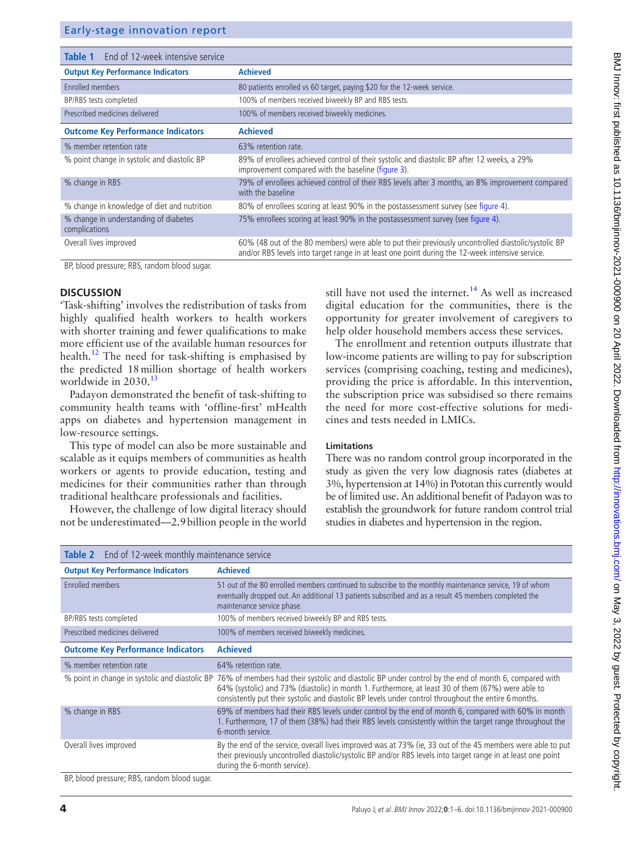| Early-stage innovation report |  |  |
|-------------------------------|--|--|
|-------------------------------|--|--|

<span id="page-3-0"></span>

| End of 12-week intensive service<br>Table 1            |                                                                                                                                                                                                        |
|--------------------------------------------------------|--------------------------------------------------------------------------------------------------------------------------------------------------------------------------------------------------------|
| <b>Output Key Performance Indicators</b>               | <b>Achieved</b>                                                                                                                                                                                        |
| Enrolled members                                       | 80 patients enrolled vs 60 target, paying \$20 for the 12-week service.                                                                                                                                |
| BP/RBS tests completed                                 | 100% of members received biweekly BP and RBS tests.                                                                                                                                                    |
| Prescribed medicines delivered                         | 100% of members received biweekly medicines.                                                                                                                                                           |
| <b>Outcome Key Performance Indicators</b>              | <b>Achieved</b>                                                                                                                                                                                        |
| % member retention rate                                | 63% retention rate.                                                                                                                                                                                    |
| % point change in systolic and diastolic BP            | 89% of enrollees achieved control of their systolic and diastolic BP after 12 weeks, a 29%<br>improvement compared with the baseline (figure 3).                                                       |
| % change in RBS                                        | 79% of enrollees achieved control of their RBS levels after 3 months, an 8% improvement compared<br>with the baseline                                                                                  |
| % change in knowledge of diet and nutrition            | 80% of enrollees scoring at least 90% in the postassessment survey (see figure 4).                                                                                                                     |
| % change in understanding of diabetes<br>complications | 75% enrollees scoring at least 90% in the postassessment survey (see figure 4).                                                                                                                        |
| Overall lives improved                                 | 60% (48 out of the 80 members) were able to put their previously uncontrolled diastolic/systolic BP<br>and/or RBS levels into target range in at least one point during the 12-week intensive service. |

BP, blood pressure; RBS, random blood sugar.

#### **DISCUSSION**

'Task-shifting' involves the redistribution of tasks from highly qualified health workers to health workers with shorter training and fewer qualifications to make more efficient use of the available human resources for health.<sup>[12](#page-5-10)</sup> The need for task-shifting is emphasised by the predicted 18million shortage of health workers worldwide in 2030.<sup>13</sup>

Padayon demonstrated the benefit of task-shifting to community health teams with 'offline-first' mHealth apps on diabetes and hypertension management in low-resource settings.

This type of model can also be more sustainable and scalable as it equips members of communities as health workers or agents to provide education, testing and medicines for their communities rather than through traditional healthcare professionals and facilities.

However, the challenge of low digital literacy should not be underestimated—2.9billion people in the world

still have not used the internet. $14$  As well as increased digital education for the communities, there is the opportunity for greater involvement of caregivers to help older household members access these services.

The enrollment and retention outputs illustrate that low-income patients are willing to pay for subscription services (comprising coaching, testing and medicines), providing the price is affordable. In this intervention, the subscription price was subsidised so there remains the need for more cost-effective solutions for medicines and tests needed in LMICs.

#### **Limitations**

There was no random control group incorporated in the study as given the very low diagnosis rates (diabetes at 3%, hypertension at 14%) in Pototan this currently would be of limited use. An additional benefit of Padayon was to establish the groundwork for future random control trial studies in diabetes and hypertension in the region.

| End of 12-week monthly maintenance service<br>Table 2 |                                                                                                                                                                                                                                                                                                                                                                     |  |  |
|-------------------------------------------------------|---------------------------------------------------------------------------------------------------------------------------------------------------------------------------------------------------------------------------------------------------------------------------------------------------------------------------------------------------------------------|--|--|
| <b>Output Key Performance Indicators</b>              | <b>Achieved</b>                                                                                                                                                                                                                                                                                                                                                     |  |  |
| Enrolled members                                      | 51 out of the 80 enrolled members continued to subscribe to the monthly maintenance service, 19 of whom<br>eventually dropped out. An additional 13 patients subscribed and as a result 45 members completed the<br>maintenance service phase.                                                                                                                      |  |  |
| BP/RBS tests completed                                | 100% of members received biweekly BP and RBS tests.                                                                                                                                                                                                                                                                                                                 |  |  |
| Prescribed medicines delivered                        | 100% of members received biweekly medicines.                                                                                                                                                                                                                                                                                                                        |  |  |
| <b>Outcome Key Performance Indicators</b>             | <b>Achieved</b>                                                                                                                                                                                                                                                                                                                                                     |  |  |
| % member retention rate                               | 64% retention rate.                                                                                                                                                                                                                                                                                                                                                 |  |  |
|                                                       | % point in change in systolic and diastolic BP 76% of members had their systolic and diastolic BP under control by the end of month 6, compared with<br>64% (systolic) and 73% (diastolic) in month 1. Furthermore, at least 30 of them (67%) were able to<br>consistently put their systolic and diastolic BP levels under control throughout the entire 6 months. |  |  |
| % change in RBS                                       | 69% of members had their RBS levels under control by the end of month 6, compared with 60% in month<br>1. Furthermore, 17 of them (38%) had their RBS levels consistently within the target range throughout the<br>6-month service.                                                                                                                                |  |  |
| Overall lives improved                                | By the end of the service, overall lives improved was at 73% (ie, 33 out of the 45 members were able to put<br>their previously uncontrolled diastolic/systolic BP and/or RBS levels into target range in at least one point<br>during the 6-month service).                                                                                                        |  |  |
| RD blood proccuro: RRC random blood cugar             |                                                                                                                                                                                                                                                                                                                                                                     |  |  |

BP, blood pressure; RBS, random blood sugar.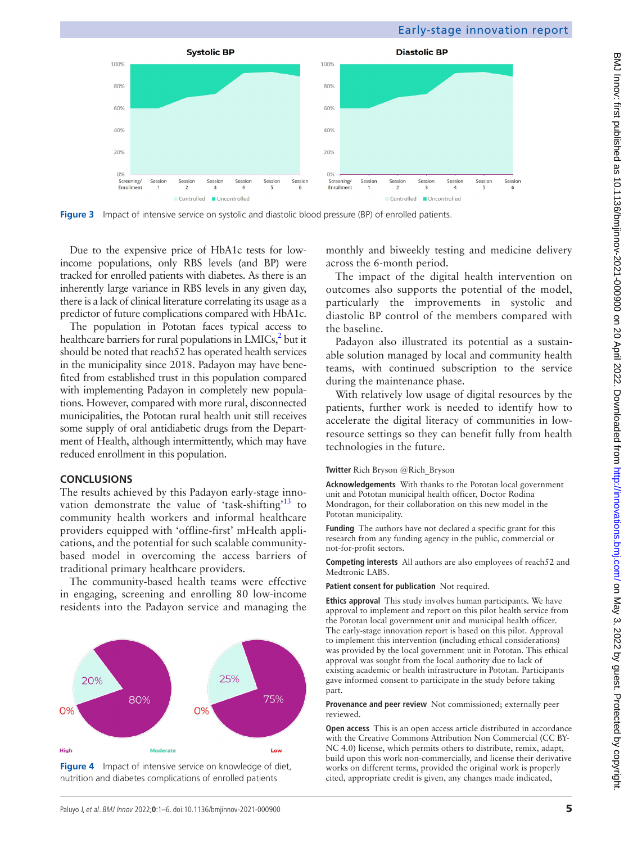

<span id="page-4-0"></span>**Figure 3** Impact of intensive service on systolic and diastolic blood pressure (BP) of enrolled patients.

Due to the expensive price of HbA1c tests for lowincome populations, only RBS levels (and BP) were tracked for enrolled patients with diabetes. As there is an inherently large variance in RBS levels in any given day, there is a lack of clinical literature correlating its usage as a predictor of future complications compared with HbA1c.

The population in Pototan faces typical access to healthcare barriers for rural populations in  $LMICs<sub>i</sub><sup>2</sup>$  but it should be noted that reach52 has operated health services in the municipality since 2018. Padayon may have benefited from established trust in this population compared with implementing Padayon in completely new populations. However, compared with more rural, disconnected municipalities, the Pototan rural health unit still receives some supply of oral antidiabetic drugs from the Department of Health, although intermittently, which may have reduced enrollment in this population.

# **CONCLUSIONS**

The results achieved by this Padayon early-stage inno-vation demonstrate the value of 'task-shifting'<sup>[13](#page-5-11)</sup> to community health workers and informal healthcare providers equipped with 'offline-first' mHealth applications, and the potential for such scalable communitybased model in overcoming the access barriers of traditional primary healthcare providers.

The community-based health teams were effective in engaging, screening and enrolling 80 low-income residents into the Padayon service and managing the



<span id="page-4-1"></span>**Figure 4** Impact of intensive service on knowledge of diet, nutrition and diabetes complications of enrolled patients

monthly and biweekly testing and medicine delivery across the 6-month period.

The impact of the digital health intervention on outcomes also supports the potential of the model, particularly the improvements in systolic and diastolic BP control of the members compared with the baseline.

Padayon also illustrated its potential as a sustainable solution managed by local and community health teams, with continued subscription to the service during the maintenance phase.

With relatively low usage of digital resources by the patients, further work is needed to identify how to accelerate the digital literacy of communities in lowresource settings so they can benefit fully from health technologies in the future.

# **Twitter** Rich Bryson [@Rich\\_Bryson](https://twitter.com/Rich_Bryson)

**Acknowledgements** With thanks to the Pototan local government unit and Pototan municipal health officer, Doctor Rodina Mondragon, for their collaboration on this new model in the Pototan municipality.

**Funding** The authors have not declared a specific grant for this research from any funding agency in the public, commercial or not-for-profit sectors.

**Competing interests** All authors are also employees of reach52 and Medtronic LABS.

**Patient consent for publication** Not required.

**Ethics approval** This study involves human participants. We have approval to implement and report on this pilot health service from the Pototan local government unit and municipal health officer. The early-stage innovation report is based on this pilot. Approval to implement this intervention (including ethical considerations) was provided by the local government unit in Pototan. This ethical approval was sought from the local authority due to lack of existing academic or health infrastructure in Pototan. Participants gave informed consent to participate in the study before taking part.

**Provenance and peer review** Not commissioned; externally peer reviewed.

**Open access** This is an open access article distributed in accordance with the Creative Commons Attribution Non Commercial (CC BY-NC 4.0) license, which permits others to distribute, remix, adapt, build upon this work non-commercially, and license their derivative works on different terms, provided the original work is properly cited, appropriate credit is given, any changes made indicated,